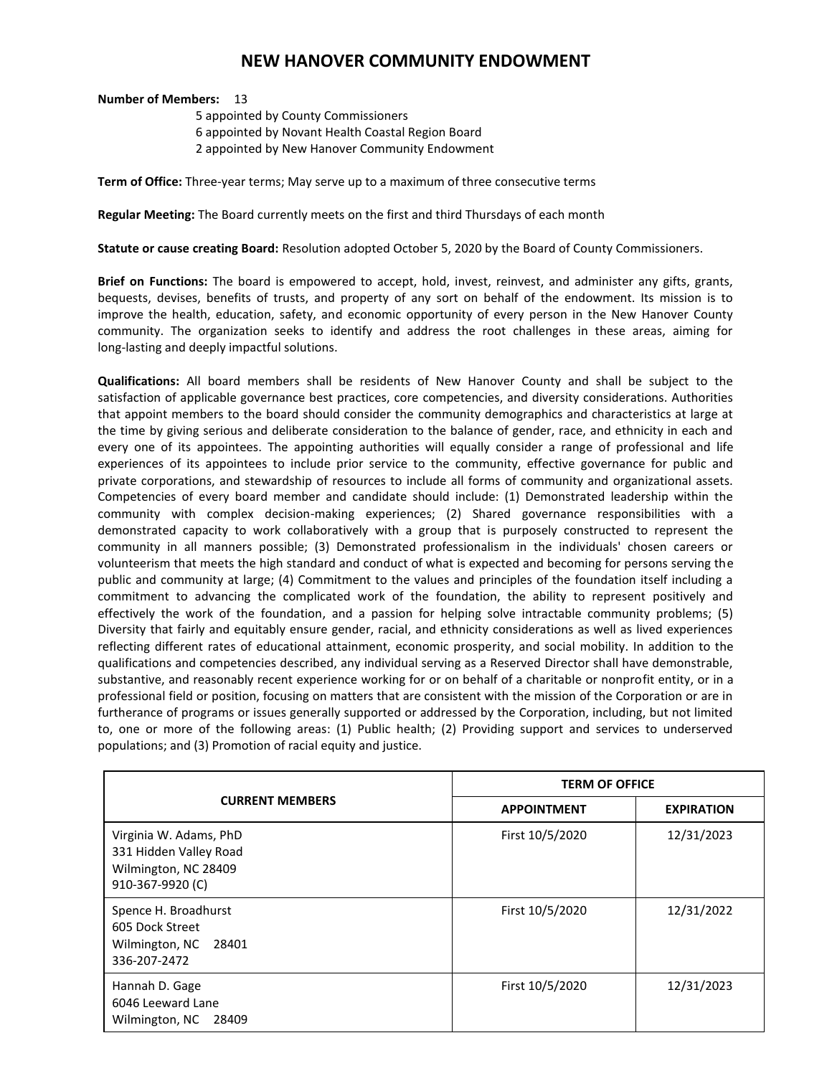## **NEW HANOVER COMMUNITY ENDOWMENT**

## **Number of Members:** 13

5 appointed by County Commissioners 6 appointed by Novant Health Coastal Region Board

2 appointed by New Hanover Community Endowment

**Term of Office:** Three-year terms; May serve up to a maximum of three consecutive terms

**Regular Meeting:** The Board currently meets on the first and third Thursdays of each month

**Statute or cause creating Board:** Resolution adopted October 5, 2020 by the Board of County Commissioners.

**Brief on Functions:** The board is empowered to accept, hold, invest, reinvest, and administer any gifts, grants, bequests, devises, benefits of trusts, and property of any sort on behalf of the endowment. Its mission is to improve the health, education, safety, and economic opportunity of every person in the New Hanover County community. The organization seeks to identify and address the root challenges in these areas, aiming for long-lasting and deeply impactful solutions.

**Qualifications:** All board members shall be residents of New Hanover County and shall be subject to the satisfaction of applicable governance best practices, core competencies, and diversity considerations. Authorities that appoint members to the board should consider the community demographics and characteristics at large at the time by giving serious and deliberate consideration to the balance of gender, race, and ethnicity in each and every one of its appointees. The appointing authorities will equally consider a range of professional and life experiences of its appointees to include prior service to the community, effective governance for public and private corporations, and stewardship of resources to include all forms of community and organizational assets. Competencies of every board member and candidate should include: (1) Demonstrated leadership within the community with complex decision-making experiences; (2) Shared governance responsibilities with a demonstrated capacity to work collaboratively with a group that is purposely constructed to represent the community in all manners possible; (3) Demonstrated professionalism in the individuals' chosen careers or volunteerism that meets the high standard and conduct of what is expected and becoming for persons serving the public and community at large; (4) Commitment to the values and principles of the foundation itself including a commitment to advancing the complicated work of the foundation, the ability to represent positively and effectively the work of the foundation, and a passion for helping solve intractable community problems; (5) Diversity that fairly and equitably ensure gender, racial, and ethnicity considerations as well as lived experiences reflecting different rates of educational attainment, economic prosperity, and social mobility. In addition to the qualifications and competencies described, any individual serving as a Reserved Director shall have demonstrable, substantive, and reasonably recent experience working for or on behalf of a charitable or nonprofit entity, or in a professional field or position, focusing on matters that are consistent with the mission of the Corporation or are in furtherance of programs or issues generally supported or addressed by the Corporation, including, but not limited to, one or more of the following areas: (1) Public health; (2) Providing support and services to underserved populations; and (3) Promotion of racial equity and justice.

| <b>CURRENT MEMBERS</b>                                                                       | <b>TERM OF OFFICE</b> |                   |
|----------------------------------------------------------------------------------------------|-----------------------|-------------------|
|                                                                                              | <b>APPOINTMENT</b>    | <b>EXPIRATION</b> |
| Virginia W. Adams, PhD<br>331 Hidden Valley Road<br>Wilmington, NC 28409<br>910-367-9920 (C) | First 10/5/2020       | 12/31/2023        |
| Spence H. Broadhurst<br>605 Dock Street<br>Wilmington, NC 28401<br>336-207-2472              | First 10/5/2020       | 12/31/2022        |
| Hannah D. Gage<br>6046 Leeward Lane<br>Wilmington, NC<br>28409                               | First 10/5/2020       | 12/31/2023        |